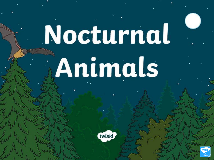# Nocturnal Animals

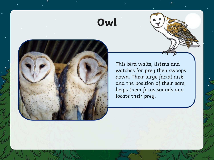### **Owl**



This bird waits, listens and watches for prey then swoops down. Their large facial disk and the position of their ears, helps them focus sounds and locate their prey.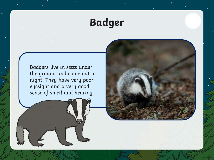# **Badger**

Badgers live in setts under the ground and come out at night. They have very poor eyesight and a very good sense of smell and hearing.

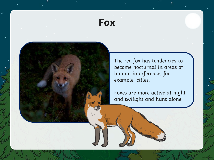#### **Fox**

The red fox has tendencies to become nocturnal in areas of human interference, for example, cities.

Foxes are more active at night and twilight and hunt alone.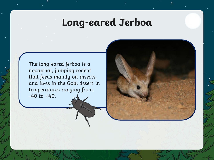### **Long-eared Jerboa**

The long-eared jerboa is a nocturnal, jumping rodent that feeds mainly on insects, and lives in the Gobi desert in temperatures ranging from  $-40$  to  $+40$ .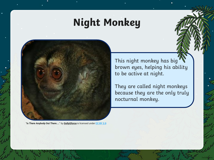## **Night Monkey**



"**Is There Anybody Out There....**" by **[GollyGforce](https://www.flickr.com/photos/see-through-the-eye-of-g/)** is licensed under **[CC BY 2.0](https://creativecommons.org/licenses/by/2.0/uk/)**

This night monkey has big brown eyes, helping his ability to be active at night.

They are called night monkeys because they are the only truly nocturnal monkey.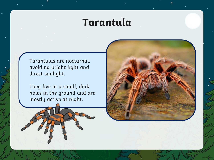#### **Tarantula**

Tarantulas are nocturnal, avoiding bright light and direct sunlight.

They live in a small, dark holes in the ground and are mostly active at night.

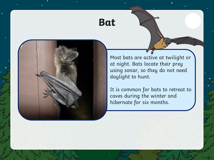#### **Bat**

Most bats are active at twilight or at night. Bats locate their prey using sonar, so they do not need daylight to hunt.

It is common for bats to retreat to caves during the winter and hibernate for six months.